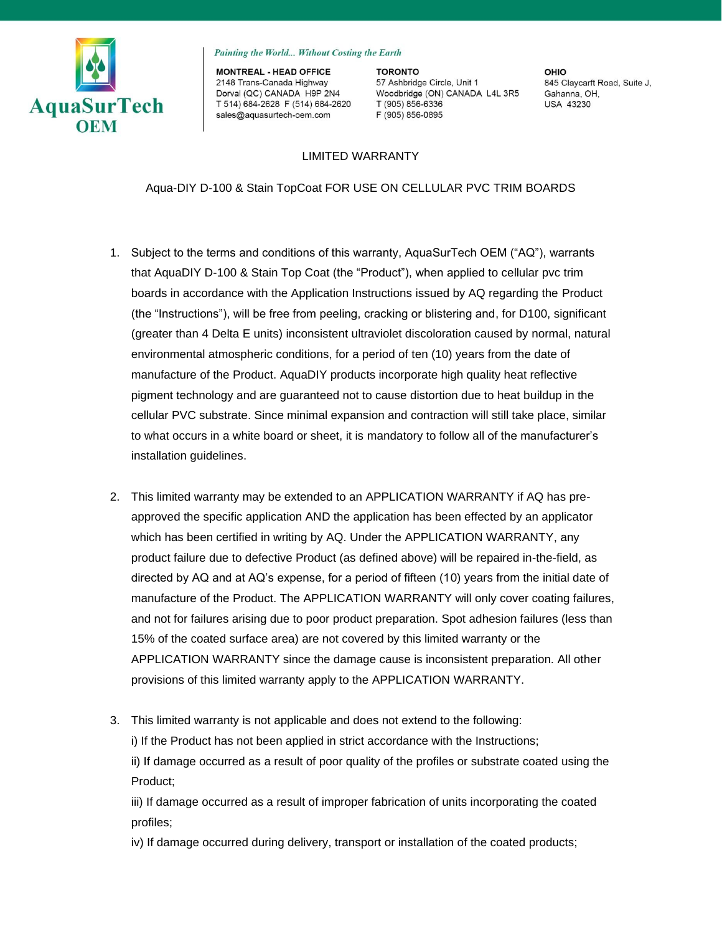

Painting the World... Without Costing the Earth

**MONTREAL - HEAD OFFICE** 2148 Trans-Canada Highway Dorval (QC) CANADA H9P 2N4 T 514) 684-2628 F (514) 684-2620 T (905) 856-6336 sales@aquasurtech-oem.com

**TORONTO** 57 Ashbridge Circle, Unit 1 Woodbridge (ON) CANADA L4L 3R5 F (905) 856-0895

OHIO 845 Claycarft Road, Suite J, Gahanna, OH. **USA 43230** 

## LIMITED WARRANTY

Aqua-DIY D-100 & Stain TopCoat FOR USE ON CELLULAR PVC TRIM BOARDS

- 1. Subject to the terms and conditions of this warranty, AquaSurTech OEM ("AQ"), warrants that AquaDIY D-100 & Stain Top Coat (the "Product"), when applied to cellular pvc trim boards in accordance with the Application Instructions issued by AQ regarding the Product (the "Instructions"), will be free from peeling, cracking or blistering and, for D100, significant (greater than 4 Delta E units) inconsistent ultraviolet discoloration caused by normal, natural environmental atmospheric conditions, for a period of ten (10) years from the date of manufacture of the Product. AquaDIY products incorporate high quality heat reflective pigment technology and are guaranteed not to cause distortion due to heat buildup in the cellular PVC substrate. Since minimal expansion and contraction will still take place, similar to what occurs in a white board or sheet, it is mandatory to follow all of the manufacturer's installation guidelines.
- 2. This limited warranty may be extended to an APPLICATION WARRANTY if AQ has preapproved the specific application AND the application has been effected by an applicator which has been certified in writing by AQ. Under the APPLICATION WARRANTY, any product failure due to defective Product (as defined above) will be repaired in-the-field, as directed by AQ and at AQ's expense, for a period of fifteen (10) years from the initial date of manufacture of the Product. The APPLICATION WARRANTY will only cover coating failures, and not for failures arising due to poor product preparation. Spot adhesion failures (less than 15% of the coated surface area) are not covered by this limited warranty or the APPLICATION WARRANTY since the damage cause is inconsistent preparation. All other provisions of this limited warranty apply to the APPLICATION WARRANTY.
- 3. This limited warranty is not applicable and does not extend to the following:

i) If the Product has not been applied in strict accordance with the Instructions;

ii) If damage occurred as a result of poor quality of the profiles or substrate coated using the Product;

iii) If damage occurred as a result of improper fabrication of units incorporating the coated profiles;

iv) If damage occurred during delivery, transport or installation of the coated products;